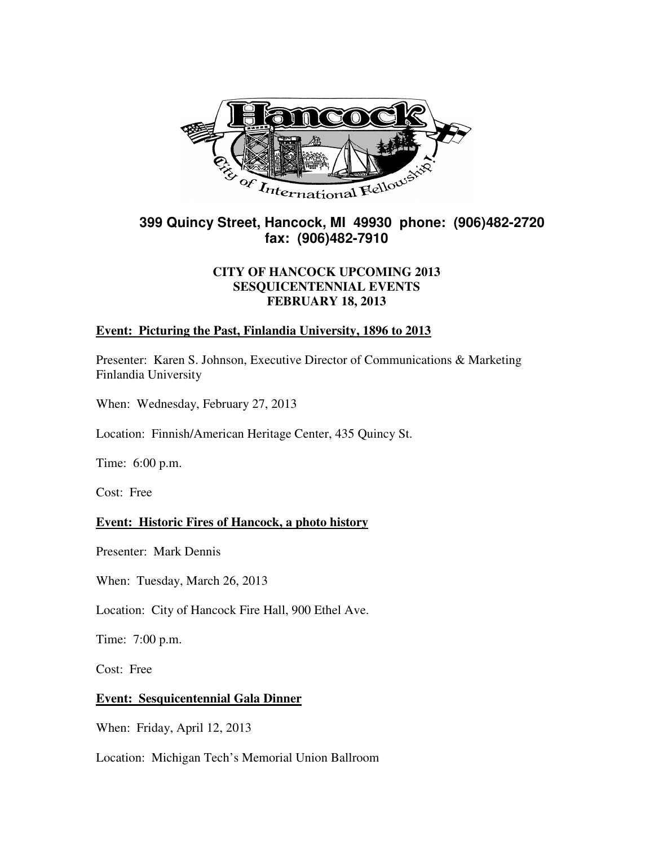

# **399 Quincy Street, Hancock, MI 49930 phone: (906)482-2720 fax: (906)482-7910**

# **CITY OF HANCOCK UPCOMING 2013 SESQUICENTENNIAL EVENTS FEBRUARY 18, 2013**

# **Event: Picturing the Past, Finlandia University, 1896 to 2013**

Presenter: Karen S. Johnson, Executive Director of Communications & Marketing Finlandia University

When: Wednesday, February 27, 2013

Location: Finnish/American Heritage Center, 435 Quincy St.

Time: 6:00 p.m.

Cost: Free

### **Event: Historic Fires of Hancock, a photo history**

Presenter: Mark Dennis

When: Tuesday, March 26, 2013

Location: City of Hancock Fire Hall, 900 Ethel Ave.

Time: 7:00 p.m.

Cost: Free

### **Event: Sesquicentennial Gala Dinner**

When: Friday, April 12, 2013

Location: Michigan Tech's Memorial Union Ballroom